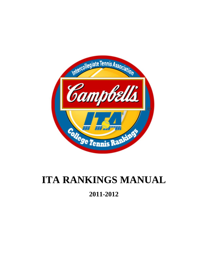

# **ITA RANKINGS MANUAL**

**2011-2012**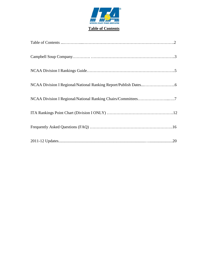

#### **Table of Contents**

| NCAA Division I Regional/National Ranking Chairs/Committees7 |
|--------------------------------------------------------------|
|                                                              |
|                                                              |
|                                                              |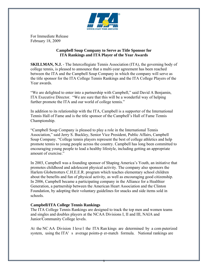

For Immediate Release February 18, 2009

#### **Campbell Soup Company to Serve as Title Sponsor for ITA Rankings and ITA Player of the Year Awards**

**SKILLMAN, N.J.** - The Intercollegiate Tennis Association (ITA), the governing body of college tennis, is pleased to announce that a multi-year agreement has been reached between the ITA and the Campbell Soup Company in which the company will serve as the title sponsor for the ITA College Tennis Rankings and the ITA College Players of the Year awards.

"We are delighted to enter into a partnership with Campbell," said David A Benjamin, ITA Executive Director. "We are sure that this will be a wonderful way of helping further promote the ITA and our world of college tennis."

In addition to its relationship with the ITA, Campbell is a supporter of the International Tennis Hall of Fame and is the title sponsor of the Campbell's Hall of Fame Tennis Championship.

"Campbell Soup Company is pleased to play a role in the International Tennis Association," said Jerry S. Buckley, Senior Vice President, Public Affairs, Campbell Soup Company. "College tennis players represent the best of college athletics and help promote tennis to young people across the country. Campbell has long been committed to encouraging young people to lead a healthy lifestyle, including getting an appropriate amount of exercise."

In 2003, Campbell was a founding sponsor of Shaping America's Youth, an initiative that promotes childhood and adolescent physical activity. The company also sponsors the Harlem Globetrotters C.H.E.E.R. program which teaches elementary school children about the benefits and fun of physical activity, as well as encouraging good citizenship. In 2006, Campbell became a participating company in the Alliance for a Healthier Generation, a partnership between the American Heart Association and the Clinton Foundation, by adopting their voluntary guidelines for snacks and side items sold in schools.

#### **Campbell/ITA College Tennis Rankings**

The ITA College Tennis Rankings are designed to track the top men and women teams and singles and doubles players at the NCAA Divisions I, II and III, NAIA and Junior/Community College levels.

At the NC AA Division I leve l the ITA Ran kings are determined by a com puterized system, using the ITA' s average points-p er-match formula. National rankings are

5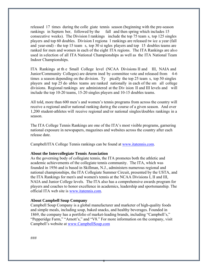released 17 times during the colle giate tennis season (beginning with the pre-season rankings in Septem ber, followed by the fall and then spring which includes 15 consecutive weeks). The Division I rankings include the top 75 team s, top 125 singles players and top 60 doubles. Division I regiona l rankings are released tw ice a year (fall and year-end) - the top 15 team s, top 30 si ngles players and top 15 doubles teams are ranked for men and women in each of the eight ITA regions. The ITA Rankings are also used in selection of all ITA National Championships as well as the ITA National Team Indoor Championships.

ITA Rankings at th e Small College level (NCAA Divisions II and III, NAIA and Junior/Community Colleges) are determ ined by committee vote and released from 4-6 times a season depending on the division. Ty pically the top 25 team s, top 50 singles players and top 25 do ubles teams are ranked nationally in each of the sm all college divisions. Regional rankings are administered at the Div ision II and III levels and will include the top 10-20 teams, 15-20 singles players and 10-15 doubles teams.

All told, more than 600 men's and women's tennis programs from across the country will receive a regional and/or national ranking durin g the course of a given season. And over 1,200 student-athletes will receive regional and/or national singles/doubles rankings in a season.

The ITA College Tennis Rankings are one of the ITA's most visible programs, garnering national exposure in newspapers, magazines and websites across the country after each release date.

Campbell/ITA College Tennis rankings can be found at www.itatennis.com.

#### **About the Intercollegiate Tennis Association**

As the governing body of collegiate tennis, the ITA promotes both the athletic and academic achievements of the collegiate tennis community. The ITA, which was founded in 1956 and is based in Skillman, N.J., administers numerous regional and national championships, the ITA Collegiate Summer Circuit, presented by the USTA, and the ITA Rankings for men's and women's tennis at the NCAA Divisions I, II and III, NAIA and Junior College levels. The ITA also has a comprehensive awards program for players and coaches to honor excellence in academics, leadership and sportsmanship. The official ITA web site is www.itatennis.com.

#### **About Campbell Soup Company**

Campbell Soup Company is a global manufacturer and marketer of high-quality foods and simple meals, including soup, baked snacks, and healthy beverages. Founded in 1869, the company has a portfolio of market-leading brands, including "Campbell's," "Pepperidge Farm," "Arnott's," and "V8." For more information on the company, visit Campbell's website at www.CampbellSoup.com

6

###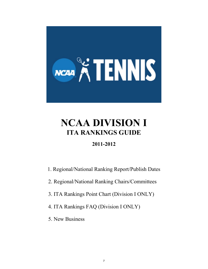

## **NCAA DIVISION I ITA RANKINGS GUIDE**

### **2011-2012**

- 1. Regional/National Ranking Report/Publish Dates
- 2. Regional/National Ranking Chairs/Committees
- 3. ITA Rankings Point Chart (Division I ONLY)
- 4. ITA Rankings FAQ (Division I ONLY)
- 5. New Business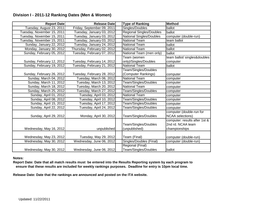#### **Division I - 2011-12 Ranking Dates (Men & Women)**

| <b>Report Date</b>         | <b>Release Date</b>         | <b>Type of Ranking</b>          | <b>Method</b>                 |
|----------------------------|-----------------------------|---------------------------------|-------------------------------|
| Tuesday, August 23, 2011   | Friday, September 09, 2011  | Singles/Doubles                 | ballot                        |
| Tuesday, November 15, 2011 | Tuesday, January 03, 2012   | <b>Regional Singles/Doubles</b> | ballot                        |
| Tuesday, November 15, 2011 | Tuesday, January 03, 2012   | <b>National Singles/Doubles</b> | computer (double-run)         |
| Tuesday, November 15, 2011 | Tuesday, January 03, 2012   | <b>National Team</b>            | team ballot                   |
| Sunday, January 22, 2012   | Tuesday, January 24, 2012   | <b>National Team</b>            | ballot                        |
| Monday, January 30, 2012   | Thursday, February 02, 2012 | National Team                   | ballot                        |
| Sunday, February 05, 2012  | Tuesday, February 07, 2012  | National Team (men only)        | ballot                        |
|                            |                             | Team (women                     | team ballot/ singles&doubles  |
| Sunday, February 12, 2012  | Tuesday, February 14, 2012  | only)/Singles/Doubles           | computer                      |
| Sunday, February 19, 2012  | Tuesday, February 21, 2012  | <b>National Team</b>            | ballot                        |
|                            |                             | Team/Singles/Doubles            |                               |
| Sunday, February 26, 2012  | Tuesday, February 28, 2012  | (Computer Rankings)             | computer                      |
| Sunday, March 04, 2012     | Tuesday, March 06, 2012     | <b>National Team</b>            | computer                      |
| Sunday, March 11, 2012     | Tuesday, March 13, 2012     | Team/Singles/Doubles            | computer                      |
| Sunday, March 18, 2012     | Tuesday, March 20, 2012     | <b>National Team</b>            | computer                      |
| Sunday, March 25, 2012     | Tuesday, March 27, 2012     | Team/Singles/Doubles            | computer                      |
| Sunday, April 01, 2012     | Tuesday, April 03, 2012     | <b>National Team</b>            | computer                      |
| Sunday, April 08, 2012     | Tuesday, April 10, 2012     | Team/Singles/Doubles            | computer                      |
| Sunday, April 15, 2012     | Tuesday, April 17, 2012     | Team/Singles/Doubles            | computer                      |
| Sunday, April 22, 2012     | Tuesday, April 24, 2012     | Team/Singles/Doubles            | computer                      |
|                            |                             |                                 | computer (double-run for      |
| Sunday, April 29, 2012     | Monday, April 30, 2012      | Team/Singles/Doubles            | <b>NCAA</b> selections)       |
|                            |                             |                                 | computer: results after 1st & |
|                            |                             | Team/Singles/Doubles            | 2nd rd. NCAA team             |
| Wednesday, May 16, 2012    | unpublished                 | (unpublished)                   | championships                 |
|                            |                             |                                 |                               |
| Wednesday, May 23, 2012    | Tuesday, May 29, 2012       | Team (Final)                    | computer (double-run)         |
| Wednesday, May 30, 2012    | Wednesday, June 06, 2012    | Singles/Doubles (Final)         | computer (double-run)         |
|                            |                             | Regional (Final)                |                               |
| Wednesday, May 30, 2012    | Wednesday, June 06, 2012    | Team/Singles/Doubles            | ballot                        |

**Notes:**

**Report Date: Date that all match results must be entered into the Results Reporting system by each program to ensure that these results are included for weekly rankings purposes. Deadline for entry is 10pm local time.**

**Release Date: Date that the rankings are announced and posted on the ITA website.**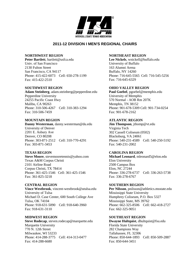

#### **2011-12 DIVISION I MEN'S REGIONAL CHAIRS**

#### **NORTHWEST REGION**

**Peter Bartlett**, bartlett@usfca.edu Univ. of San Francisco 2130 Fulton Street San Francisco, CA 94117 Phone: 415-422-6073 Cell: 650-278-1199 Fax: 415-422-2510

#### **SOUTHWEST REGION**

**Adam Steinberg**, adam.steinberg@pepperdine.edu Pepperdine University 24255 Pacific Coast Hwy Malibu, CA 90263 Phone: 310-506-4267 Cell: 310-383-1294 Fax: 310-506-7459

#### **MOUNTAIN REGION**

**Danny Westerman**, danny.westerman@du.edu University of Denver 2201 E. Asbury Ave Denver, CO 80208 Phone: 303-871-2512 Cell: 310-770-4291 Fax: 303-871-3453

#### **TEXAS REGION**

**Steve Moore**, stevemooretennis@yahoo.com Texas A&M Corpus Christi 2101 Airline Road Corpus Christi, TX 78414 Phone: 361-425-1546 Cell: 361-425-1546 Fax: 361-825-3218

#### **CENTRAL REGION**

**Vince Westbrook**, vincent-westbrook@utulsa.edu University of Tulsa Michael D. Case Center, 600 South College Ave Tulsa, OK 74104 Phone: 918-631-5090 Cell: 918-640-3960 Fax: 918-631-3110

#### **MIDWEST REGION**

**Steve Rodecap**, steven.rodecap@marquette.edu Marquette University 770 N. 12th Street Milwaukee, WI 53233 Phone: 414-288-3775 Cell: 414-313-0477 Fax: 414-288-6680

#### **NORTHEAST REGION**

**Lee Nickels**, wnickell@buffalo.edu University of Buffalo 163 Alumni Arena Buffalo, NY 14260 Phone: 716-645-5565 Cell: 716-545-5256 Fax: 716-645-6329

#### **OHIO VALLEY REGION**

**Paul Goebel**, pgoebel@memphis.edu University of Memphis 570 Normal - AOB Rm 207K Memphis, TN 38152 Phone: 901-678-5309 Cell: 901-734-0254 Fax: 901-678-2162

#### **ATLANTIC REGION**

**Jim Thompson**, jthomp@vt.edu Virginia Tech 302 Cassell Coliseum (0502) Blacksburg, VA 24061 Phone: 540-231-4589 Cell: 540-250-5192 Fax: 540-231-2002

#### **CAROLINA REGION**

**Michael Leonard**, mleonard5@elon.edu Elon University 2500 Campus Box Elon, NC 27244 Phone: 336-278-6737 Cell: 336-263-5738 Fax: 336-278-6767

#### **SOUTHERN REGION**

**Per Nilsson**, pnilsson@athletics.msstate.edu Mississippi State University Humphrey Coliseum, P.O. Box 5327 Mississippi State, MS 39762 Phone: 662-325-8506 Cell: 662-418-2727 Fax: 662-325-9051

#### **SOUTHEAST REGION**

**Dwayne Hultquist**, dhultquist@fsu.edu Florida State University 282 Champions Way Tallahassee, FL 32306 Phone: 850-644-1893 Cell: 850-509-2887 Fax: 850-644-3451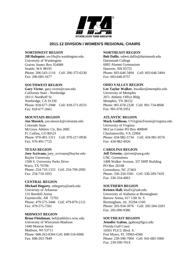

#### **2011-12 DIVISION I WOMEN'S REGIONAL CHAIRS**

#### **NORTHWEST REGION**

**Jill Hultquist**, uw10s@u.washington.edu University of Washington Graves Annex Box 354080 Seattle, WA 98195 Phone: 206-543-1116 Cell: 206-375-0230 Fax: 206-685-1677

#### **SOUTHWEST REGION**

**Gary Victor**, gary.victor@csun.edu California State - Northridge 18111 Nordhoff St. Northridge, CA 91330 Phone: 818-677-2948 Cell: 818-571-0533 Fax: 818-677-2661

#### **MOUNTAIN REGION**

**Jon Messick**, jon.messick@colostate.edu Colorado State McGraw Athletic Ctr, Rm 200C Ft. Collins, CO 80523 Phone: 970-491-1311 Cell: 970-217-0936 Fax: 970-491-7725

#### **TEXAS REGION**

**Joey Scrivano,** joey\_scrivano@baylor.edu Baylor University 1500 S. University Parks Drive Waco, TX 76706 Phone: 254-710-1323 Cell: 254-709-2095 Fax: 254-710-1055

#### **CENTRAL REGION**

**Michael Hegarty**, mhegarty@uark.edu University of Arkansas 131 Barnhill Arena Fayetteville, AR 72701 Phone: 479-575-3446 Cell: 479-879-2121 Fax: 479-575-7501

**MIDWEST REGION Brian Fleishman**, bef@athletics.wisc.edu University of Wisconsin-Madison 1440 Monroe Street Madison, WI 53711 Phone: 608-263-6304 Cell: 608-516-6906 Fax: 608-263-7849

#### **NORTHEAST REGION**

**Bob Dallis**, robert.dallis@dartmouth.edu Dartmouth College 6083 Alumni Gymnasium Hanover, NH 03755 Phone: 603-646-3494 Cell: 603-646-3494 Fax: 603-646-0757

#### **OHIO VALLEY REGION**

**Lee Taylor Walker**, ltwalker@memphis.edu University of Memphis 207c Athletic Office Bldg Memphis, TN 38152 Phone: 901-678-2328 Cell: 901-734-8606 Fax: 901-678-5952

#### **ATLANTIC REGION**

**Mark Guilbeau**, UVirginiaTennis@virginia.edu University of Virginia McCue Center PO Box 400849 Charlottesville, VA 22904 Phone: 434-982-5734 Cell: 434-981-0576 Fax: 434-982-4926

#### **CAROLINA REGION**

**Jeff Trivette**, cjtrivet@uncg.edu UNC Greensboro 1408 Walker Avenue, 337 HHP Building PO Box 26168 Greensboro, NC 27403 Phone: 336-334-5581 Cell: 336-209-7429 Fax: 336-334-4063

#### **SOUTHERN REGION Kristen Hall,** khall1@uab.edu University of Alabama at Birmingham Bartow Arena, 617 13th St. S Birmingham, AL 35294-1160

Phone: 205-934-3976 Cell: 205-504-3203 Fax: 205-996-9386

#### **SOUTHEAST REGION**

**Jennifer Gabou**, jgabou@fgcu.edu Florida Gulf Coast 10501 FGCU Blvd. S. Fort Myers, FL 33965-6566 Phone: 239-590-7004 Cell: 941-685-5960 Fax: 239-590-7014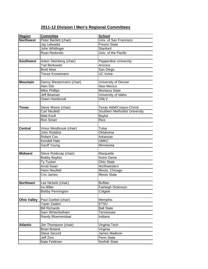| <b>Region</b>      | <b>Committee</b>                              | <b>School</b>                              |
|--------------------|-----------------------------------------------|--------------------------------------------|
| <b>Northwest</b>   | Peter Bartlett (chair)                        | Univ. of San Francisco                     |
|                    | Jay Udwadia                                   | <b>Fresno State</b>                        |
|                    | John Whitlinger                               | Stanford                                   |
|                    | Ryan Redondo                                  | Univ. of the Pacific                       |
|                    |                                               |                                            |
| <b>Southwest</b>   | Adam Steinberg (chair)                        | <b>Pepperdine University</b>               |
|                    | <b>Tad Berkowitz</b>                          | Arizona                                    |
|                    | <b>Brett Masi</b>                             | San Diego                                  |
|                    | Trevor Kronemann                              | <b>UC</b> Irvine                           |
|                    |                                               |                                            |
| <b>Mountain</b>    | Danny Westermann (chair)                      | University of Denver                       |
|                    | <b>Alan Dils</b>                              | <b>New Mexico</b>                          |
|                    | <b>Mike Phillips</b>                          | Montana State                              |
|                    | Jeff Beaman                                   | University of Idaho                        |
|                    | Owen Hambrook                                 | <b>UNLV</b>                                |
| Texas              | Steve Moore (chair)                           | Texas A&M/Corpus-Christi                   |
|                    | <b>Carl Neufeld</b>                           | Southern Methodist University              |
|                    | <b>Matt Knoll</b>                             | <b>Baylor</b>                              |
|                    | Ron Smarr                                     | Rice                                       |
|                    |                                               |                                            |
| <b>Central</b>     | Vince Westbrook (chair)                       | Tulsa                                      |
|                    | John Roddick                                  | Oklahoma                                   |
|                    | <b>Robert Cox</b>                             | Arkansas                                   |
|                    | Kendell Hale                                  | <b>UMKC</b>                                |
|                    | Geoff Young                                   | Minnesota                                  |
|                    |                                               |                                            |
| <b>Midwest</b>     | Steve Rodecap (chair)<br><b>Bobby Bayliss</b> | Marquette<br><b>Notre Dame</b>             |
|                    |                                               |                                            |
|                    | Ty Tucker<br>Arvid Swan                       | <b>Ohio State</b><br>Northwestern          |
|                    | Hans Neufeld                                  |                                            |
|                    |                                               | Illinois, Chicago<br><b>Illinois State</b> |
|                    | Cris James                                    |                                            |
| <b>Northeast</b>   | Lee Nickels (chair)                           | <b>Buffalo</b>                             |
|                    | Ira Miller                                    | Fairleigh Dickinson                        |
|                    | <b>Bobby Pennington</b>                       | Colgate                                    |
|                    |                                               |                                            |
| <b>Ohio Valley</b> | Paul Goebel (chair)                           | Memphis                                    |
|                    | Yaser Zaatini                                 | <b>ETSU</b>                                |
|                    | <b>Bill Richards</b>                          | <b>Ball State</b>                          |
|                    | Sam Winterbotham                              | Tennessee                                  |
|                    | Randy Bloemendaal                             | Indiana                                    |
|                    |                                               |                                            |
| <b>Atlantic</b>    | Jim Thompson (chair)                          | Virginia Tech                              |
|                    | <b>Brian Boland</b>                           | Virginia                                   |
|                    | <b>Steve Secord</b>                           | James Madison                              |
|                    | Jeff Zinn                                     | Penn State                                 |
|                    | Nate Feldman                                  | Norfolk State                              |

#### **2011-12 Division I Men's Regional Committees**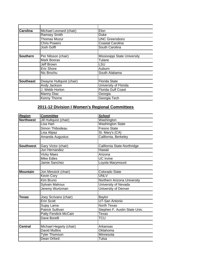| <b>Carolina</b>  | Michael Leonard (chair)  | Elon                         |
|------------------|--------------------------|------------------------------|
|                  | <b>Ramsey Smith</b>      | Duke                         |
|                  | <b>Thomas Mozur</b>      | <b>UNC Greensboro</b>        |
|                  | <b>Chris Powers</b>      | <b>Coastal Carolina</b>      |
|                  | Josh Goffi               | South Carolina               |
|                  |                          |                              |
| <b>Southern</b>  | Per Nilsson (chair)      | Mississippi State University |
|                  | <b>Mark Booras</b>       | Tulane                       |
|                  | Jeff Brown               | LSU                          |
|                  | Eric Shore               | Auburn                       |
|                  | Nic Brochu               | South Alabama                |
|                  |                          |                              |
| <b>Southeast</b> | Dwayne Hultquist (chair) | <b>Florida State</b>         |
|                  | Andy Jackson             | University of Florida        |
|                  | J. Webb Horton           | Florida Gulf Coast           |
|                  | Manny Diaz               | Georgia                      |
|                  | Kenny Thorne             | Georgia Tech                 |

#### **2011-12 Division I Women's Regional Committees**

| <b>Region</b>    | <b>Committee</b>        | <b>School</b>                 |  |  |
|------------------|-------------------------|-------------------------------|--|--|
| <b>Northwest</b> | Jill Hultquist (chair)  | Washington                    |  |  |
|                  | Lisa Hart               | <b>Washington State</b>       |  |  |
|                  | Simon Thibodeau         | <b>Fresno State</b>           |  |  |
|                  | Lisa Alipaz             | St. Mary's (CA)               |  |  |
|                  | Amanda Augustus         | California, Berkeley          |  |  |
| <b>Southwest</b> | Gary Victor (chair)     | California State-Northridge   |  |  |
|                  | Jun Hernandez           | Hawaii                        |  |  |
|                  | Vicky Maes              | Arizona                       |  |  |
|                  | <b>Mike Edles</b>       | <b>UC</b> Irvine              |  |  |
|                  | Jamie Sanchez           | Loyola Marymount              |  |  |
| <b>Mountain</b>  | Jon Messick (chair)     | Colorado State                |  |  |
|                  | <b>Kevin Cory</b>       | UNLV                          |  |  |
|                  | Kim Bruno               | Northern Arizona University   |  |  |
|                  | Sylvain Malroux         | University of Nevada          |  |  |
|                  | Jeremy Wurtzman         | University of Denver          |  |  |
| Texas            | Joey Scrivano (chair)   | Baylor                        |  |  |
|                  | <b>Erin Scott</b>       | UT-San Antonio                |  |  |
|                  | Sujay Lama              | <b>North Texas</b>            |  |  |
|                  | <b>Patrick Sullivan</b> | Stephen F. Austin State Univ. |  |  |
|                  | Patty Fendick-McCain    | Texas                         |  |  |
|                  | Dave Borelli            | <b>TCU</b>                    |  |  |
| Central          | Michael Hegarty (chair) | Arkansas                      |  |  |
|                  | <b>David Mullins</b>    | Oklahoma                      |  |  |
|                  | <b>Tyler Thomson</b>    | Minnesota                     |  |  |
|                  | Dean Orford             | Tulsa                         |  |  |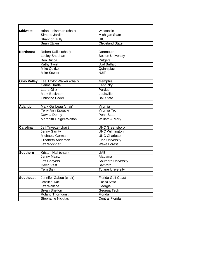| <b>Midwest</b>     | Brian Fleishman (chair)   | Wisconsin                |
|--------------------|---------------------------|--------------------------|
|                    | Simone Jardim             | <b>Michigan State</b>    |
|                    | <b>Shannon Tully</b>      | $\overline{UC}$          |
|                    | <b>Brian Etzkin</b>       | <b>Cleveland State</b>   |
|                    |                           |                          |
| <b>Northeast</b>   | Robert Dallis (chair)     | Dartmouth                |
|                    | <b>Lesley Sheehan</b>     | <b>Boston University</b> |
|                    | <b>Ben Bucca</b>          | Rutgers                  |
|                    | Kathy Twist               | <b>U.of Buffalo</b>      |
|                    | Mike Quitko               | Quinnipiac               |
|                    | <b>Mike Sowter</b>        | <b>NJIT</b>              |
|                    |                           |                          |
| <b>Ohio Valley</b> | Lee Taylor Walker (chair) | Memphis                  |
|                    | Carlos Drada              | Kentucky                 |
|                    | Laura Glitz               | Purdue                   |
|                    | <b>Mark Beckham</b>       | Louisville               |
|                    | <b>Christine Bader</b>    | <b>Ball State</b>        |
|                    |                           |                          |
| <b>Atlantic</b>    | Mark Guilbeau (chair)     | Virginia                 |
|                    | Terry Ann Zawacki         | Virginia Tech            |
|                    | Dawna Denny               | Penn State               |
|                    | Meredith Geiger-Walton    | William & Mary           |
|                    |                           |                          |
| <b>Carolina</b>    | Jeff Trivette (chair)     | <b>UNC Greensboro</b>    |
|                    | <b>Jenny Garrity</b>      | <b>UNC Wilmington</b>    |
|                    | Michaela Gorman           | <b>UNC Charlotte</b>     |
|                    | Elizabeth Anderson        | <b>Elon University</b>   |
|                    | <b>Jeff Wyshner</b>       | <b>Wake Forest</b>       |
|                    |                           |                          |
| <b>Southern</b>    | Kristen Hall (chair)      | <b>UAB</b>               |
|                    | <b>Jenny Mainz</b>        | Alabama                  |
|                    | Jeff Conyers              | Southern University      |
|                    | David Vest                | Samford                  |
|                    | <b>Terri Sisk</b>         | <b>Tulane University</b> |
|                    |                           |                          |
| <b>Southeast</b>   | Jennifer Gabou (chair)    | Florida Gulf Coast       |
|                    | Jennifer Hyde             | <b>Florida State</b>     |
|                    | <b>Jeff Wallace</b>       | Georgia                  |
|                    | <b>Bryan Shelton</b>      | Georgia Tech             |
|                    | <b>Roland Thornquist</b>  | Florida                  |
|                    | <b>Stephanie Nickitas</b> | <b>Central Florida</b>   |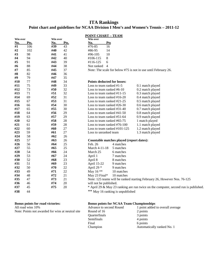#### **ITA Rankings Point chart and guidelines for NCAA Division I Men's and Women's Tennis – 2011-12**

|          |      |            |        | <b>POINT CHART - TEAM</b>   |                                          |                                                                                     |
|----------|------|------------|--------|-----------------------------|------------------------------------------|-------------------------------------------------------------------------------------|
| Win over |      | Win over   |        | Win over                    |                                          |                                                                                     |
| No.      | Pts. | <u>No.</u> | Pts.   | No.                         | <b>Pts</b>                               |                                                                                     |
| #1       | 106  | #39        | 43     | #76-85                      | 16                                       |                                                                                     |
| #2       | 102  | #40        | 42     | #86-95                      | 14                                       |                                                                                     |
| #3       | 98   | #41        | 41     | #96-105                     | 10                                       |                                                                                     |
| #4       | 94   | #42        | 40     | #106-115                    | 8                                        |                                                                                     |
| #5       | 91   | #43        | 39     | #116-125                    | 6                                        |                                                                                     |
| #6       | 88   | #44        | 38     | Not ranked                  | $\overline{4}$                           |                                                                                     |
| #7       | 85   | #45        | 37     |                             |                                          | Note: The scale for below #75 is not in use until February 26.                      |
| #8       | 82   | #46        | 36     |                             |                                          |                                                                                     |
| #9       | 79   | #47        | 35     |                             |                                          |                                                                                     |
| #10      | 77   | #48        | 34     |                             | <b>Points deducted for losses:</b>       |                                                                                     |
| #11      | 75   | #49        | 33     | Loss to team ranked $#1-5$  |                                          | 0.1 match played                                                                    |
| #12      | 73   | #50        | 32     | Loss to team ranked $#6-10$ |                                          | 0.2 match played                                                                    |
| #13      | 71   | #51        | 32     |                             | Loss to team ranked #11-15               | 0.3 match played                                                                    |
| #14      | 69   | #52        | 31     |                             | Loss to team ranked $#16-20$             | 0.4 match played                                                                    |
| #15      | 67   | #53        | 31     |                             | Loss to team ranked #21-25               | 0.5 match played                                                                    |
| #16      | 66   | #54        | 30     |                             | Loss to team ranked $#26-30$             | 0.6 match played                                                                    |
| #17      | 65   | #55        | 30     |                             | Loss to team ranked $#31-40$             | 0.7 match played                                                                    |
| #18      | 64   | #56        | 29     |                             | Loss to team ranked #41-50               | 0.8 match played                                                                    |
| #19      | 63   | #57        | 29     |                             | Loss to team ranked #51-64               | 0.9 match played                                                                    |
| #20      | 62   | #58        | 28     |                             | Loss to team ranked #65-75               | 1 match played                                                                      |
| #21      | 61   | #59        | 28     |                             | Loss to team ranked #76-100              | 1.1 match played                                                                    |
| #22      | 60   | #60        | 27     |                             | Loss to team ranked #101-125             | 1.2 match played                                                                    |
| #23      | 59   | #61        | 27     | Loss to unranked team       |                                          | 1.3 match played                                                                    |
| #24      | 58   | #62        | 26     |                             |                                          |                                                                                     |
| #25      | 57   | #63        | 26     |                             | Countable matches played (report dates): |                                                                                     |
| #26      | 56   | #64        | 25     | Feb. 26                     | 4 matches                                |                                                                                     |
| #27      | 55   | #65        | 25     | March 4-11-18               | 5 matches                                |                                                                                     |
| #28      | 54   | #66        | 24     | March 25                    | 6 matches                                |                                                                                     |
| #29      | 53   | #67        | 24     | April 1                     | 7 matches                                |                                                                                     |
| #30      | 52   | #68        | 23     | April 8                     | 8 matches                                |                                                                                     |
| #31      | 51   | #69        | 23     | April 15-22                 | 9 matches                                |                                                                                     |
| #32      | 50   | #70        | $22\,$ | April 29 *                  | 9 matches                                |                                                                                     |
| #33      | 49   | #71        | 22     | May 16 **                   | 10 matches                               |                                                                                     |
| #34      | 48   | #72        | 21     | May 23 Final*               | 10 matches                               |                                                                                     |
| #35      | 47   | #73        | 21     |                             |                                          | Note: 125 teams will be ranked starting February 26, However Nos. 76-125            |
| #36      | 46   | #74        | 20     | will not be published.      |                                          |                                                                                     |
| #37      | 45   | #75        | 20     |                             |                                          | * April 29 & May 23 ranking are run twice on the computer, second run is published. |
| #38      | 44   |            |        |                             | ** May 16 ranking is unpublished         |                                                                                     |

All road wins 10% Note: Points not awarded for wins at neutral site

#### **Bonus points for road victories: Bonus points for NCAA Team Championships**

| 1 point added to overall average |
|----------------------------------|
| 2 points                         |
| 3 points                         |
| 4 points                         |
| 6 points                         |
| Automatically ranked No. 1       |
|                                  |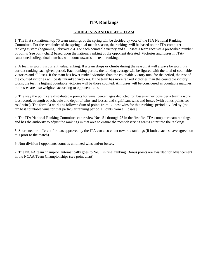#### **ITA Rankings**

#### **GUIDELINES AND RULES – TEAM**

1. The first six national top 75 team rankings of the spring will be decided by vote of the ITA National Ranking Committee. For the remainder of the spring dual match season, the rankings will be based on the ITA computer ranking system (beginning February 26). For each countable victory and all losses a team receives a prescribed number of points (see point chart) based upon the national ranking of the opponent defeated. Victories and losses in ITAsanctioned college dual matches will count towards the team ranking.

2. A team is worth its current value/ranking. If a team drops or climbs during the season, it will always be worth its current ranking each given period. Each ranking period, the ranking average will be figured with the total of countable victories and all loses. If the team has fewer ranked victories than the countable victory total for the period, the rest of the counted victories will be its unranked victories. If the team has more ranked victories than the countable victory totals, the team's highest countable victories will be those counted. All losses will be considered as countable matches, but losses are also weighted according to opponent rank.

3. The way the points are distributed – points for wins; percentages deducted for losses – they consider a team's wonloss record, strength of schedule and depth of wins and losses; and significant wins and losses (with bonus points for road wins). The formula works as follows: Sum of points from 'x' best wins for that rankings period divided by [the 'x' best countable wins for that particular ranking period + Points from all losses].

4. The ITA National Ranking Committee can review Nos. 51 through 75 in the first five ITA computer team rankings and has the authority to adjust the rankings in that area to ensure the most-deserving teams enter into the rankings.

5. Shortened or different formats approved by the ITA can also count towards rankings (if both coaches have agreed on this prior to the match).

6. Non-division I opponents count as unranked wins and/or losses.

7. The NCAA team champion automatically goes to No. 1 in final ranking. Bonus points are awarded for advancement in the NCAA Team Championships (see point chart).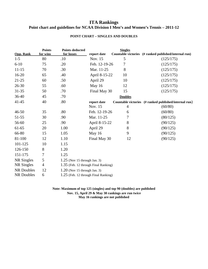#### **ITA Rankings Point chart and guidelines for NCAA Division I Men's and Women's Tennis – 2011-12**

| Opp. Rank  | <b>Points</b><br>for wins | <b>Points deducted</b><br>for losses | report date   | <b>Singles</b> | Countable victories (# ranked published/internal run) |
|------------|---------------------------|--------------------------------------|---------------|----------------|-------------------------------------------------------|
| $1 - 5$    | 80                        | .10                                  | Nov. 15       | 5              | (125/175)                                             |
| $6 - 10$   | 75                        | .20                                  | Feb. 12-19-26 | 7              | (125/175)                                             |
| $11 - 15$  | 70                        | .30                                  | Mar. 11-25    | 8              | (125/175)                                             |
| $16-20$    | 65                        | .40                                  | April 8-15-22 | 10             | (125/175)                                             |
| $21 - 25$  | 60                        | .50                                  | April 29      | 10             | (125/175)                                             |
| 26-30      | 55                        | .60                                  | May 16        | 12             | (125/175)                                             |
| $31 - 35$  | 50                        | .70                                  | Final May 30  | 15             | (125/175)                                             |
| 36-40      | 45                        | .70                                  |               | <b>Doubles</b> |                                                       |
| $41 - 45$  | 40                        | .80                                  | report date   |                | Countable victories (# ranked published/internal run) |
|            |                           |                                      | Nov. 15       | 4              | (60/80)                                               |
| $46 - 50$  | 35                        | .80                                  | Feb. 12-19-26 | 6              | (60/80)                                               |
| 51-55      | 30                        | .90                                  | Mar. 11-25    | 7              | (80/125)                                              |
| 56-60      | 25                        | .90                                  | April 8-15-22 | $8\,$          | (90/125)                                              |
| 61-65      | 20                        | 1.00                                 | April 29      | 8              | (90/125)                                              |
| 66-80      | 15                        | 1.05                                 | May 16        | 9              | (90/125)                                              |
| 81-100     | 12                        | 1.10                                 | Final May 30  | 12             | (90/125)                                              |
| 101-125    | 10                        | 1.15                                 |               |                |                                                       |
| 126-150    | 8                         | 1.20                                 |               |                |                                                       |
| 151-175    | 7                         | 1.25                                 |               |                |                                                       |
| NR Singles | 5                         | $1.25$ (Nov 15 through Jan. 3)       |               |                |                                                       |
| NR Singles | $\overline{4}$            | 1.35 (Feb. 12 through Final Ranking) |               |                |                                                       |
| NR Doubles | 12                        | $1.20$ (Nov 15 through Jan. 3)       |               |                |                                                       |
| NR Doubles | 6                         | 1.25 (Feb. 12 through Final Ranking) |               |                |                                                       |

#### **POINT CHART – SINGLES AND DOUBLES**

**Note: Maximum of top 125 (singles) and top 90 (doubles) are published Nov. 15, April 29 & May 30 rankings are run twice May 16 rankings are not published**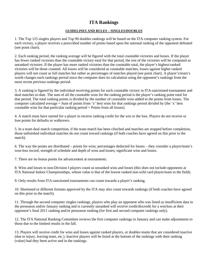#### **ITA Rankings**

#### **GUIDELINES AND RULES – SINGLES/DOUBLES**

1. The Top 125 singles players and Top 90 doubles rankings will be based on the ITA computer ranking system. For each victory, a player receives a prescribed number of points based upon the national ranking of the opponent defeated (see point chart).

2. Each ranking period, the ranking average will be figured with the total countable victories and losses. If the player has fewer ranked victories than the countable victory total for that period, the rest of the victories will be computed as unranked victories. If the player has more ranked victories than the countable total, the player's highest-ranked victories will be those counted. All losses will be considered as countable matches, losses against higher ranked players will not count as full matches but rather as percentages of matches played (see point chart). A player's/team's worth changes each rankings period since the computer does its calculation using the opponent's rankings from the most recent previous rankings period.

3. A ranking is figured by the individual receiving points for each countable victory in ITA-sanctioned tournament and dual matches to date. The sum of all the countable wins for the ranking period is the player's ranking point total for that period. The total ranking points is divided by the number of countable wins added to the points from losses. The computer calculated average = Sum of points from 'x' best wins for that rankings period divided by [the 'x' best countable wins for that particular ranking period + Points from all losses].

4. A match must have started for a player to receive ranking credit for the win or the loss. Players do not receive or lose points for defaults or walkovers.

5. In a team dual match competition, if the team match has been clinched and matches are stopped before completion, those unfinished individual matches do not count toward rankings (if both coaches have agreed on this prior to the match).

6. The way the points are distributed – points for wins; percentages deducted for losses – they consider a player/team's won-loss record, strength of schedule and depth of wins and losses; significant wins and losses.

7. There are no bonus points for advancement at tournaments.

8. Wins and losses to non-Division I players count as unranked wins and losses (this does not include opponents at ITA National Indoor Championships, whose value is that of the lowest ranked non-wild card player/team in the field).

9. Only results from ITA-sanctioned tournaments can count towards a player's ranking.

10. Shortened or different formats approved by the ITA may also count towards rankings (if both coaches have agreed on this prior to the match).

11. Through the second computer singles rankings, players who play an opponent who was listed as insufficient data in the preseason and/or January ranking and is currently unranked will receive credit/discredit for a win/loss at their opponent's final 2011 ranking and/or preseason ranking (for first and second computer rankings only).

12. The ITA National Ranking Committee reviews the first computer rankings in January and can make adjustments to those due to the limited results in the fall.

13. Players will receive credit for wins and losses against ranked players, or doubles teams that are considered inactive (due to injury, leaving team, etc.). Inactive players will be listed at the bottom of the rankings with their ranking (value) had they been active and in the rankings.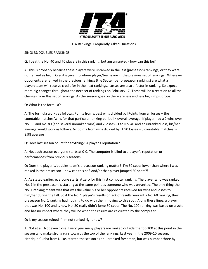

ITA Rankings: Frequently Asked Questions

#### SINGLES/DOUBLES RANKINGS

Q: I beat the No. 40 and 70 players in this ranking, but am unranked - how can this be?

A: This is probably because these players were unranked in the last (preseason) rankings, or they were not ranked as high. Credit is given to where player/teams are in the previous set of rankings. Wherever opponents are ranked in the previous rankings (the September preseason rankings) are what a player/team will receive credit for in the next rankings. Losses are also a factor in ranking. So expect more big changes throughout the next set of rankings on February 17. These will be a reaction to all the changes from this set of rankings. As the season goes on there are less and less big jumps, drops.

#### Q: What is the formula?

A: The formula works as follows: Points from x best wins divided by [Points from all losses + the countable matches/wins for that particular ranking period] = overall average. If player had a 2 wins over No. 50 and No. 80 (and several unranked wins) and 2 losses - 1 to No. 40 and an unranked loss, his/her average would work as follows: 62 points from wins divided by [1.90 losses + 5 countable matches] = 8.98 average

Q: Does last season count for anything? A player's reputation?

A: No, each season everyone starts at 0-0. The computer is blind to a player's reputation or performances from previous seasons.

Q: Does the player's/doubles team's preseason ranking matter? I'm 60 spots lower than where I was ranked in the preseason – how can this be? And/or that player jumped 80 spots?!!

A: As stated earlier, everyone starts at zero for this first computer ranking. The player who was ranked No. 1 in the preseason is starting at the same point as someone who was unranked. The only thing the No. 1 ranking meant was that was the value his or her opponents received for wins and losses to him/her during the fall. So if the No. 1 player's results or lack of results warrant a No. 60 ranking, their preseason No. 1 ranking had nothing to do with them moving to this spot. Along these lines, a player that was No. 100 and is now No. 20 really didn't jump 80 spots. The No. 100 ranking was based on a vote and has no impact where they will be when the results are calculated by the computer.

Q: Is my season ruined if I'm not ranked right now?

A: Not at all. Not even close. Every year many players are ranked outside the top 100 at this point in the season who make strong runs towards the top of the rankings. Last year in the 2009-10 season, Henrique Cunha from Duke, started the season as an unranked freshman, but was number three by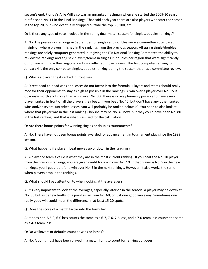season's end. Florida's Allie Will also was an unranked freshman when she started the 2009-10 season, but finished No. 11 in the Final Rankings. That said each year there are also players who start the season in the top 20, but who eventually dropped outside the top 80, 100, etc.

Q: Is there any type of vote involved in the spring dual-match season for singles/doubles rankings?

A: No. The preseason rankings in September for singles and doubles were a committee vote, based mainly on where players finished in the rankings from the previous season. All spring single/doubles rankings are solely computer generated, but giving the ITA National Ranking Committee the ability to review the rankings and adjust 2 players/teams in singles in doubles per region that were significantly out of line with how their regional rankings reflected those players. The first computer ranking for January 4 is the only computer singles/doubles ranking during the season that has a committee review.

Q: Why is a player I beat ranked in front me?

A: Direct head-to-head wins and losses do not factor into the formula. Players and teams should really root for their opponents to stay as high as possible in the rankings. A win over a player over No. 15 is obviously worth a lot more than a win over No. 30. There is no way humanly possible to have every player ranked in front of all the players they beat. If you beat No. 40, but don't have any other ranked wins and/or several unranked losses, you will probably be ranked below 40. You need to also look at where that player was in the last ranking - he/she may be No. 40 now, but they could have been No. 80 in the last ranking, and that is what was used for the calculation.

Q: Are there bonus points for winning singles or doubles tournaments?

A: No. There have not been bonus points awarded for advancement in tournament play since the 1999 season.

Q: What happens if a player I beat moves up or down in the rankings?

A: A player or team's value is what they are in the most current ranking. If you beat the No. 10 player from the previous rankings, you are given credit for a win over No. 10. If that player is No. 5 in the new rankings, you'll get credit for a win over No. 5 in the next rankings. However, it also works the same when players drop in the rankings.

Q: What should I pay attention to when looking at the averages?

A: It's very important to look at the averages, especially later on in the season. A player may be down at No. 80 but just a few tenths of a point away from No. 60, or just one good win away. Sometimes one really good win could mean the difference in at least 15-20 spots.

Q: Does the score of a match factor into the formula?

A: It does not. A 6-0, 6-0 loss counts the same as a 6-7, 7-6, 7-6 loss, and a 7-0 team loss counts the same as a 4-3 team loss.

Q: Do walkovers or defaults count as wins or losses?

A: No. A point must have been played in a match for it to count for ranking purposes.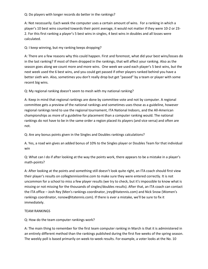Q: Do players with longer records do better in the rankings?

A: Not necessarily. Each week the computer uses a certain amount of wins. For a ranking in which a player's 10 best wins counted towards their point average, it would not matter if they were 10-2 or 23- 2. For this first ranking a player's 5 best wins in singles, 4 best wins in doubles and all losses were calculated.

Q: I keep winning, but my ranking keeps dropping?

A: There are a few reasons why this could happen. First and foremost, what did your best wins/losses do in the last ranking? If most of them dropped in the rankings, that will affect your ranking. Also as the season goes along we count more and more wins. One week we used each player's 5 best wins, but the next week used the 6 best wins, and you could get passed if other players ranked behind you have a better sixth win. Also, sometimes you don't really drop but get "passed" by a team or player with some recent big wins.

Q: My regional ranking doesn't seem to mesh with my national ranking?

A: Keep in mind that regional rankings are done by committee vote and not by computer. A regional committee gets a preview of the national rankings and sometimes uses those as a guideline, however regional rankings tend to use the regional tournament, ITA National Indoors, and the All-American championships as more of a guideline for placement than a computer ranking would. The national rankings do not have to be in the same order a region placed its players (and vice versa) and often are not.

Q: Are any bonus points given in the Singles and Doubles rankings calculations?

A. Yes, a road win gives an added bonus of 10% to the Singles player or Doubles Team for that individual win

Q: What can I do if after looking at the way the points work, there appears to be a mistake in a player's math-points?

A: After looking at the points and something still doesn't look quite right, an ITA coach should first view their player's results on collegtennisonline.com to make sure they were entered correctly. It is not uncommon for a school to miss a few player results (we try to check, but it's impossible to know what is missing or not missing for the thousands of singles/doubles results). After that, an ITA coach can contact the ITA office – Josh Rey (Men's rankings coordinator, jrey@itatennis.com) and Nick Snow (Women's rankings coordinator, nsnow@itatennis.com). If there is ever a mistake, we'll be sure to fix it immediately.

#### TEAM RANKINGS

Q: How do the team computer rankings work?

A: The main thing to remember for the first team computer ranking in March is that it is administered in an entirely different method than the rankings published during the first five weeks of the spring season. The weekly poll is based primarily on week-to-week results. For example, a voter looks at the No. 10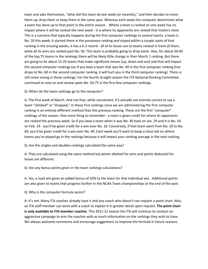team and asks themselves, "what did this team do last week (or recently)," and then decides to move them up, drop them or keep them in the same spot. Whereas each week the computer determines what a team has done up to that point in the entire season. Where a team is ranked on one week has no impact where it will be ranked the next week - it is where its opponents are ranked that matters most. This is a scenario that typically happens during the first computer rankings to several teams: a team is No. 20 this week; it started there in the preseason ranking and stayed within a couple spots of that ranking in the ensuing weeks; it has a 6-3 record - all of its losses are to teams ranked in front of them, while all its wins are ranked past No. 50. This team is probably going to drop some. Also, for about 50-60 of the top 75 teams in the rankings there will be likely little change in their March 1 ranking. But there are going to be about 15-25 teams that make significant moves (up, down and out) and that will impact the second computer rankings (so if you beat a team that was No. 40 in the first computer ranking that drops to No. 60 in the second computer ranking, it will hurt you in the third computer ranking). There is still some voting in these rankings. For the fourth straight season the ITA National Ranking Committee continued to vote on and review spots No. 50-75 in the first few computer rankings.

#### Q: When do the team rankings go to the computer?

A: The first week of March. And not that, while convenient, it's actually not entirely correct to say a team "climbed" or "dropped," in these first rankings since we are administering the first computer ranking in an entirely different method than the previous ranking. These are the first "computer" rankings of the season. One more thing to remember - a team is given credit for where its opponents are ranked the previous week. So if you beat a team when it was No. 40 back on Jan. 29 and it is No. 10 on Feb. 24 - you'll be given credit for a win over No. 10. Conversely, if that team went from No. 10 to No. 40, you'd be given credit for a win over No. 40. Each week you'll want to keep a close tab on where teams you've played go in the rankings because it will impact your ranking average in the next ranking.

Q: Are the singles and doubles rankings calculated the same way?

A: They are calculated using the same method but points allotted for wins and points deducted for losses are different.

Q: Are any bonus points given in the team rankings calculations?

A. Yes, a road win gives an added bonus of 10% to the team for that individual win. Additional points are also given to teams that progress further in the NCAA Team championships at the end of the year.

#### Q: Why is the computer formula secret?

A: It's not. Many ITA coaches already have it and any coach who doesn't can request a point chart. Also, an ITA staff member can work with a coach to explain it in greater detail upon request. **The point chart is only available to ITA-member coaches**. This 2011-12 season the ITA will continue to conduct an aggressive campaign to arm the coaches with as much information on the rankings they wish to have. We always welcome comments and encourage suggestions to improve the formula in future seasons.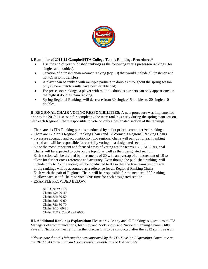

#### **I. Reminder of 2011-12 Campbell/ITA College Tennis Rankings Procedures\***

- Use the end of year published rankings as the following year's preseason rankings (for singles and doubles).
- Creation of a freshman/newcomer ranking (top 10) that would include all freshman and non-Division I transfers.
- A player can be ranked with multiple partners in doubles throughout the spring season only (where match results have been established).
- For preseason rankings, a player with multiple doubles partners can only appear once in the highest doubles team ranking.
- Spring Regional Rankings will decrease from 30 singles/15 doubles to 20 singles/10 doubles.

**II. REGIONAL CHAIR VOTING RESPONIBILITIES:** A new procedure was implemented prior to the 2010-11 season for completing the team rankings early during the spring team season, with each Regional Chair responsible to vote on only a designated section of the rankings.

- There are six ITA Ranking periods conducted by ballot prior to computerized rankings.
- There are 12 Men's Regional Ranking Chairs and 12 Women's Regional Ranking Chairs.
- To assure accuracy and accountability, two regional chairs will pair up for each ranking period and will be responsible for carefully voting on a designated section.
- Since the most important and focused areas of voting are the teams 1-20, ALL Regional Chairs will be expected to vote on the top 20 as well as their designated section.
- Each section will be divided by increments of 20 with an overlap of an increment of 10 to allow for further cross-reference and accuracy. Even though the published rankings will include only to 75, the voting will be conducted to 80 so that the five teams just outside of the rankings will be accounted as a reference for all Regional Ranking Chairs.
- Each week the pair of Regional Chairs will be responsible for the next set of 20 rankings to allow each set of Chairs to vote ONE time for each designated section.
- EXAMPLE PROVIDED BELOW:

ALL Chairs: 1-20 Chairs 1/2: 20-40 Chairs 3/4: 30-50 Chairs 5/6: 40-60 Chairs 7/8: 50-70 Chairs 9/10: 60-80 Chairs 11/12: 70-80 and 20-30

**III. Additional Rankings Exploration:** Please provide any and all Rankings suggestions to ITA Managers of Communications, Josh Rey and Nick Snow, and National Ranking Chairs, Billy Pate and Nicole Kenneally, for further discussions to be conducted after the 2012 spring season.

*\*Please note that this information was approved by the ITA Division I Operating Committee at the 2010 ITA Convention and is currently available on the ITA web site.*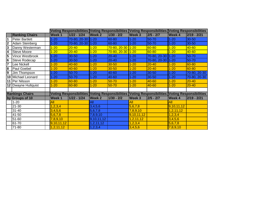|                         |                        |              |               |                                                                                                 | Voting Responsibilities Voting Responsibilities Voting Responsibilities Voting Responsibilities |               |              |              |               |  |
|-------------------------|------------------------|--------------|---------------|-------------------------------------------------------------------------------------------------|-------------------------------------------------------------------------------------------------|---------------|--------------|--------------|---------------|--|
|                         | <b>Ranking Chairs</b>  | Week 1       | $1/22 - 1/24$ | <b>Week 2</b>                                                                                   | $1/30 - 2/2$                                                                                    | <b>Week 3</b> | $2/5 - 2/7$  | Week 4       | $2/19 - 2/21$ |  |
| $\overline{1}$          | Peter Bartlett         | $1 - 20$     | 70-80, 20-30  | $1 - 20$                                                                                        | 60-80                                                                                           | $1 - 20$      | 50-70        | $1 - 20$     | 30-50         |  |
| $\overline{\mathbf{2}}$ | Adam Steinberg         | $-20$        | 70-80, 20-30  | $1 - 20$                                                                                        | 60-80                                                                                           | $1 - 20$      | 50-70        | $1 - 20$     | $30 - 50$     |  |
| $\overline{\mathbf{3}}$ | Danny Westerman        | $1 - 20$     | $20 - 40$     | $1 - 20$                                                                                        | $70-80, 20-30$ 1-20                                                                             |               | 60-80        | $1 - 20$     | 40-60         |  |
| $\overline{\mathbf{r}}$ | Steve Moore            | $1 - 20$     | $20 - 40$     | $1 - 20$                                                                                        | $70-80, 20-30$ 1-20                                                                             |               | 60-80        | $1 - 20$     | 40-60         |  |
| 5                       | Vince Westbrook        | $1 - 20$     | 30-50         | $1 - 20$                                                                                        | $20 - 40$                                                                                       | $1 - 20$      | 70-80, 20-30 | $1 - 20$     | 50-70         |  |
| $6\phantom{1}6$         | Steve Rodecap          | $-20$        | 30-50         | $1 - 20$                                                                                        | $20 - 40$                                                                                       | $1 - 20$      | 70-80, 20-30 | $1 - 20$     | 50-70         |  |
| 7                       | Lee Nickell            | $1 - 20$     | 40-60         | $1 - 20$                                                                                        | $30 - 50$                                                                                       | $1 - 20$      | $20 - 40$    | $1 - 20$     | 60-80         |  |
| 8                       | Paul Goebel            | $1 - 20$     | 40-60         | $1 - 20$                                                                                        | $30 - 50$                                                                                       | $1 - 20$      | $20 - 40$    | $1 - 20$     | 60-80         |  |
| 9                       | Jim Thompson           | $1 - 20$     | 50-70         | $1 - 20$                                                                                        | 40-60                                                                                           | $1 - 20$      | 30-50        | $1 - 20$     | 70-80, 20-30  |  |
| 10                      | Michael Leonard        | $1 - 20$     | 50-70         | $1 - 20$                                                                                        | 40-60                                                                                           | $1 - 20$      | 30-50        | $1 - 20$     | 70-80, 20-30  |  |
| 11                      | Per Nilsson            | $1 - 20$     | 60-80         | $1 - 20$                                                                                        | 50-70                                                                                           | $1 - 20$      | 40-60        | $1 - 20$     | $20 - 40$     |  |
|                         | 12 Dwayne Hultquist    | $1 - 20$     | 60-80         | $1 - 20$                                                                                        | 50-70                                                                                           | $1 - 20$      | 40-60        | $1 - 20$     | $20 - 40$     |  |
|                         |                        |              |               |                                                                                                 |                                                                                                 |               |              |              |               |  |
|                         | <b>Rankings Chairs</b> |              |               | Voting Responsibilities Voting Responsibilities Voting Responsibilities Voting Responsibilities |                                                                                                 |               |              |              |               |  |
|                         | by Groups of 10        | <b>Week1</b> | $1/22 - 1/24$ | Week 2                                                                                          | $1/30 - 2/2$                                                                                    | <b>Week 3</b> | $2/5 - 2/7$  | Week 4       | 2/19 - 2/21   |  |
|                         | $1 - 20$               | All          |               | IAII                                                                                            |                                                                                                 | All           |              | <b>All</b>   |               |  |
|                         | $21 - 30$              | 1, 2, 3, 4   |               | 3,4,5,6                                                                                         |                                                                                                 | 5,6,7,8       |              | 9,10,11,12   |               |  |
|                         | $31 - 40$              | 3,4,5,6      |               | 5,6,7,8                                                                                         |                                                                                                 | 7,8,9,10      |              | 1, 2, 11, 12 |               |  |
|                         | 41-50                  | 5,6,7,8      |               | 7,8,9,10                                                                                        |                                                                                                 | 9,10,11,12    |              | 1, 2, 3, 4   |               |  |
|                         | 51-60                  | 7,8,9,10     |               | 9,10,11,12                                                                                      |                                                                                                 | 1,2,11,12     |              | 3,4,5,6      |               |  |
|                         | 61-70                  | 9,10,11,12   |               | 1,2,11,12                                                                                       |                                                                                                 | 1,2,3,4       |              | 5,6,7,8      |               |  |
|                         | 71-80                  | 1, 2, 11, 12 |               | 1,2,3,4                                                                                         |                                                                                                 | 3,4,5,6       |              | 7,8,9,10     |               |  |